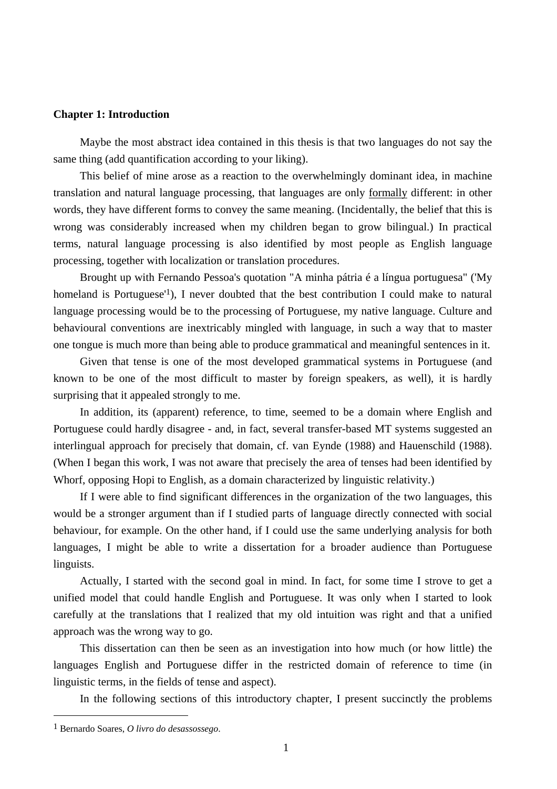# **Chapter 1: Introduction**

Maybe the most abstract idea contained in this thesis is that two languages do not say the same thing (add quantification according to your liking).

This belief of mine arose as a reaction to the overwhelmingly dominant idea, in machine translation and natural language processing, that languages are only formally different: in other words, they have different forms to convey the same meaning. (Incidentally, the belief that this is wrong was considerably increased when my children began to grow bilingual.) In practical terms, natural language processing is also identified by most people as English language processing, together with localization or translation procedures.

Brought up with Fernando Pessoa's quotation "A minha pátria é a língua portuguesa" ('My homeland is Portuguese<sup>'1</sup>), I never doubted that the best contribution I could make to natural language processing would be to the processing of Portuguese, my native language. Culture and behavioural conventions are inextricably mingled with language, in such a way that to master one tongue is much more than being able to produce grammatical and meaningful sentences in it.

Given that tense is one of the most developed grammatical systems in Portuguese (and known to be one of the most difficult to master by foreign speakers, as well), it is hardly surprising that it appealed strongly to me.

In addition, its (apparent) reference, to time, seemed to be a domain where English and Portuguese could hardly disagree - and, in fact, several transfer-based MT systems suggested an interlingual approach for precisely that domain, cf. van Eynde (1988) and Hauenschild (1988). (When I began this work, I was not aware that precisely the area of tenses had been identified by Whorf, opposing Hopi to English, as a domain characterized by linguistic relativity.)

If I were able to find significant differences in the organization of the two languages, this would be a stronger argument than if I studied parts of language directly connected with social behaviour, for example. On the other hand, if I could use the same underlying analysis for both languages, I might be able to write a dissertation for a broader audience than Portuguese linguists.

Actually, I started with the second goal in mind. In fact, for some time I strove to get a unified model that could handle English and Portuguese. It was only when I started to look carefully at the translations that I realized that my old intuition was right and that a unified approach was the wrong way to go.

This dissertation can then be seen as an investigation into how much (or how little) the languages English and Portuguese differ in the restricted domain of reference to time (in linguistic terms, in the fields of tense and aspect).

In the following sections of this introductory chapter, I present succinctly the problems

<sup>1</sup> Bernardo Soares, *O livro do desassossego*.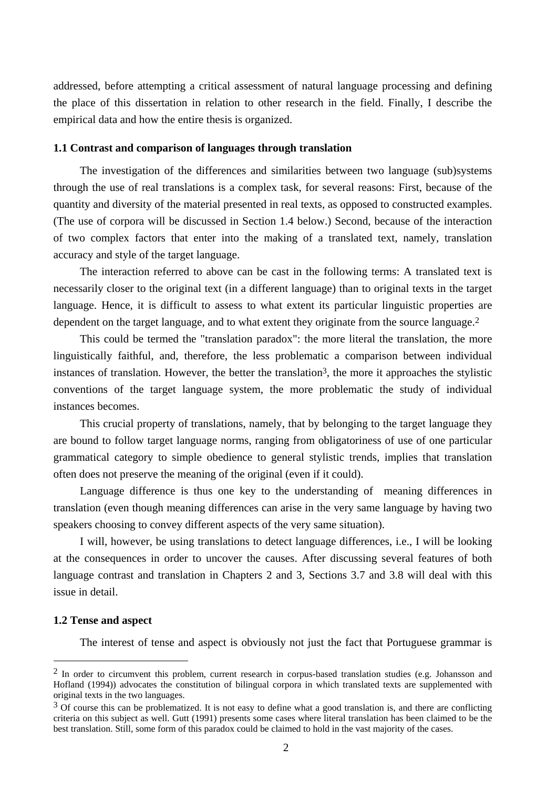addressed, before attempting a critical assessment of natural language processing and defining the place of this dissertation in relation to other research in the field. Finally, I describe the empirical data and how the entire thesis is organized.

## **1.1 Contrast and comparison of languages through translation**

The investigation of the differences and similarities between two language (sub)systems through the use of real translations is a complex task, for several reasons: First, because of the quantity and diversity of the material presented in real texts, as opposed to constructed examples. (The use of corpora will be discussed in Section 1.4 below.) Second, because of the interaction of two complex factors that enter into the making of a translated text, namely, translation accuracy and style of the target language.

The interaction referred to above can be cast in the following terms: A translated text is necessarily closer to the original text (in a different language) than to original texts in the target language. Hence, it is difficult to assess to what extent its particular linguistic properties are dependent on the target language, and to what extent they originate from the source language.<sup>2</sup>

This could be termed the "translation paradox": the more literal the translation, the more linguistically faithful, and, therefore, the less problematic a comparison between individual instances of translation. However, the better the translation<sup>3</sup>, the more it approaches the stylistic conventions of the target language system, the more problematic the study of individual instances becomes.

This crucial property of translations, namely, that by belonging to the target language they are bound to follow target language norms, ranging from obligatoriness of use of one particular grammatical category to simple obedience to general stylistic trends, implies that translation often does not preserve the meaning of the original (even if it could).

Language difference is thus one key to the understanding of meaning differences in translation (even though meaning differences can arise in the very same language by having two speakers choosing to convey different aspects of the very same situation).

I will, however, be using translations to detect language differences, i.e., I will be looking at the consequences in order to uncover the causes. After discussing several features of both language contrast and translation in Chapters 2 and 3, Sections 3.7 and 3.8 will deal with this issue in detail.

## **1.2 Tense and aspect**

 $\overline{a}$ 

The interest of tense and aspect is obviously not just the fact that Portuguese grammar is

<sup>&</sup>lt;sup>2</sup> In order to circumvent this problem, current research in corpus-based translation studies (e.g. Johansson and Hofland (1994)) advocates the constitution of bilingual corpora in which translated texts are supplemented with original texts in the two languages.

 $3$  Of course this can be problematized. It is not easy to define what a good translation is, and there are conflicting criteria on this subject as well. Gutt (1991) presents some cases where literal translation has been claimed to be the best translation. Still, some form of this paradox could be claimed to hold in the vast majority of the cases.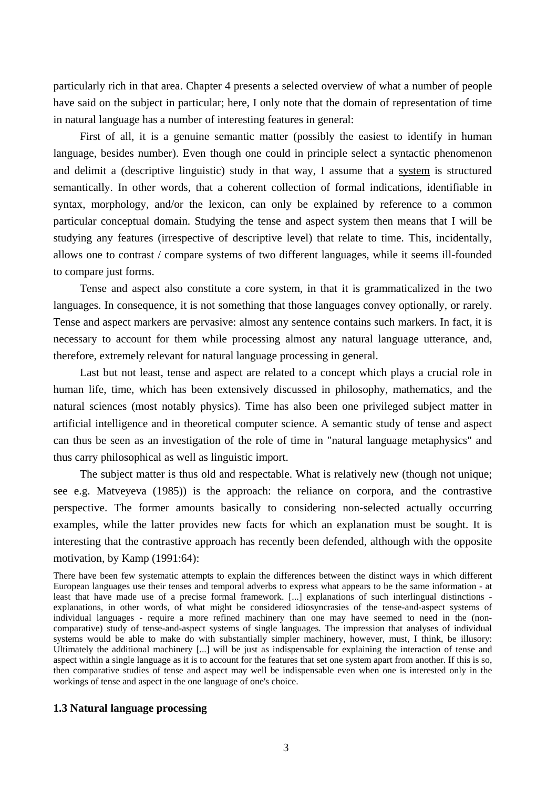particularly rich in that area. Chapter 4 presents a selected overview of what a number of people have said on the subject in particular; here, I only note that the domain of representation of time in natural language has a number of interesting features in general:

First of all, it is a genuine semantic matter (possibly the easiest to identify in human language, besides number). Even though one could in principle select a syntactic phenomenon and delimit a (descriptive linguistic) study in that way, I assume that a system is structured semantically. In other words, that a coherent collection of formal indications, identifiable in syntax, morphology, and/or the lexicon, can only be explained by reference to a common particular conceptual domain. Studying the tense and aspect system then means that I will be studying any features (irrespective of descriptive level) that relate to time. This, incidentally, allows one to contrast / compare systems of two different languages, while it seems ill-founded to compare just forms.

Tense and aspect also constitute a core system, in that it is grammaticalized in the two languages. In consequence, it is not something that those languages convey optionally, or rarely. Tense and aspect markers are pervasive: almost any sentence contains such markers. In fact, it is necessary to account for them while processing almost any natural language utterance, and, therefore, extremely relevant for natural language processing in general.

Last but not least, tense and aspect are related to a concept which plays a crucial role in human life, time, which has been extensively discussed in philosophy, mathematics, and the natural sciences (most notably physics). Time has also been one privileged subject matter in artificial intelligence and in theoretical computer science. A semantic study of tense and aspect can thus be seen as an investigation of the role of time in "natural language metaphysics" and thus carry philosophical as well as linguistic import.

The subject matter is thus old and respectable. What is relatively new (though not unique; see e.g. Matveyeva (1985)) is the approach: the reliance on corpora, and the contrastive perspective. The former amounts basically to considering non-selected actually occurring examples, while the latter provides new facts for which an explanation must be sought. It is interesting that the contrastive approach has recently been defended, although with the opposite motivation, by Kamp (1991:64):

There have been few systematic attempts to explain the differences between the distinct ways in which different European languages use their tenses and temporal adverbs to express what appears to be the same information - at least that have made use of a precise formal framework. [...] explanations of such interlingual distinctions explanations, in other words, of what might be considered idiosyncrasies of the tense-and-aspect systems of individual languages - require a more refined machinery than one may have seemed to need in the (noncomparative) study of tense-and-aspect systems of single languages. The impression that analyses of individual systems would be able to make do with substantially simpler machinery, however, must, I think, be illusory: Ultimately the additional machinery [...] will be just as indispensable for explaining the interaction of tense and aspect within a single language as it is to account for the features that set one system apart from another. If this is so, then comparative studies of tense and aspect may well be indispensable even when one is interested only in the workings of tense and aspect in the one language of one's choice.

#### **1.3 Natural language processing**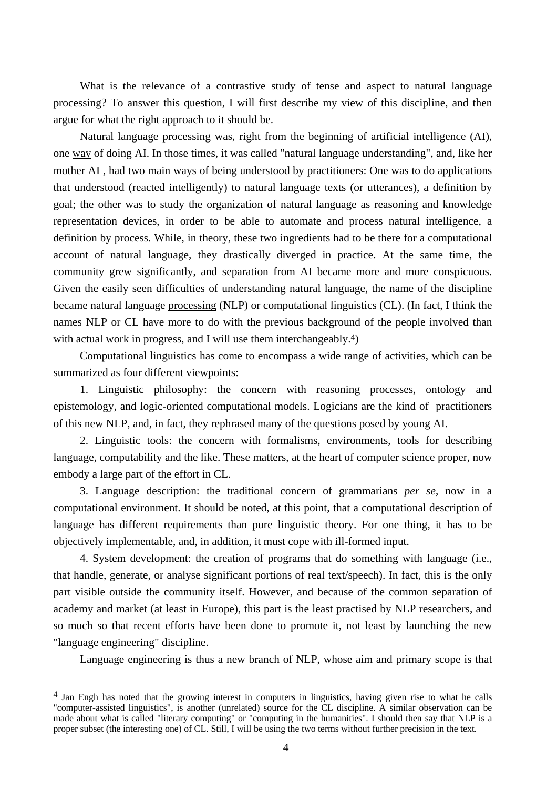What is the relevance of a contrastive study of tense and aspect to natural language processing? To answer this question, I will first describe my view of this discipline, and then argue for what the right approach to it should be.

Natural language processing was, right from the beginning of artificial intelligence (AI), one way of doing AI. In those times, it was called "natural language understanding", and, like her mother AI , had two main ways of being understood by practitioners: One was to do applications that understood (reacted intelligently) to natural language texts (or utterances), a definition by goal; the other was to study the organization of natural language as reasoning and knowledge representation devices, in order to be able to automate and process natural intelligence, a definition by process. While, in theory, these two ingredients had to be there for a computational account of natural language, they drastically diverged in practice. At the same time, the community grew significantly, and separation from AI became more and more conspicuous. Given the easily seen difficulties of understanding natural language, the name of the discipline became natural language processing (NLP) or computational linguistics (CL). (In fact, I think the names NLP or CL have more to do with the previous background of the people involved than with actual work in progress, and I will use them interchangeably.<sup>4</sup>)

Computational linguistics has come to encompass a wide range of activities, which can be summarized as four different viewpoints:

1. Linguistic philosophy: the concern with reasoning processes, ontology and epistemology, and logic-oriented computational models. Logicians are the kind of practitioners of this new NLP, and, in fact, they rephrased many of the questions posed by young AI.

2. Linguistic tools: the concern with formalisms, environments, tools for describing language, computability and the like. These matters, at the heart of computer science proper, now embody a large part of the effort in CL.

3. Language description: the traditional concern of grammarians *per se*, now in a computational environment. It should be noted, at this point, that a computational description of language has different requirements than pure linguistic theory. For one thing, it has to be objectively implementable, and, in addition, it must cope with ill-formed input.

4. System development: the creation of programs that do something with language (i.e., that handle, generate, or analyse significant portions of real text/speech). In fact, this is the only part visible outside the community itself. However, and because of the common separation of academy and market (at least in Europe), this part is the least practised by NLP researchers, and so much so that recent efforts have been done to promote it, not least by launching the new "language engineering" discipline.

Language engineering is thus a new branch of NLP, whose aim and primary scope is that

<sup>&</sup>lt;sup>4</sup> Jan Engh has noted that the growing interest in computers in linguistics, having given rise to what he calls "computer-assisted linguistics", is another (unrelated) source for the CL discipline. A similar observation can be made about what is called "literary computing" or "computing in the humanities". I should then say that NLP is a proper subset (the interesting one) of CL. Still, I will be using the two terms without further precision in the text.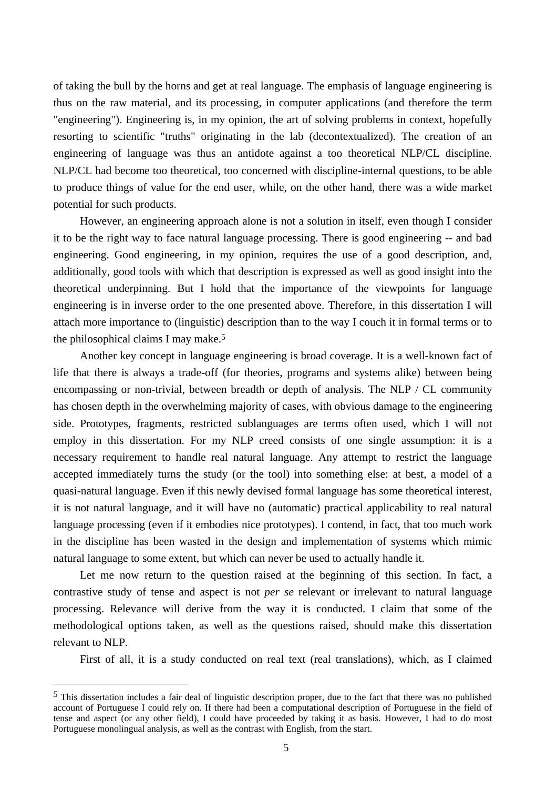of taking the bull by the horns and get at real language. The emphasis of language engineering is thus on the raw material, and its processing, in computer applications (and therefore the term "engineering"). Engineering is, in my opinion, the art of solving problems in context, hopefully resorting to scientific "truths" originating in the lab (decontextualized). The creation of an engineering of language was thus an antidote against a too theoretical NLP/CL discipline. NLP/CL had become too theoretical, too concerned with discipline-internal questions, to be able to produce things of value for the end user, while, on the other hand, there was a wide market potential for such products.

However, an engineering approach alone is not a solution in itself, even though I consider it to be the right way to face natural language processing. There is good engineering -- and bad engineering. Good engineering, in my opinion, requires the use of a good description, and, additionally, good tools with which that description is expressed as well as good insight into the theoretical underpinning. But I hold that the importance of the viewpoints for language engineering is in inverse order to the one presented above. Therefore, in this dissertation I will attach more importance to (linguistic) description than to the way I couch it in formal terms or to the philosophical claims I may make.5

Another key concept in language engineering is broad coverage. It is a well-known fact of life that there is always a trade-off (for theories, programs and systems alike) between being encompassing or non-trivial, between breadth or depth of analysis. The NLP / CL community has chosen depth in the overwhelming majority of cases, with obvious damage to the engineering side. Prototypes, fragments, restricted sublanguages are terms often used, which I will not employ in this dissertation. For my NLP creed consists of one single assumption: it is a necessary requirement to handle real natural language. Any attempt to restrict the language accepted immediately turns the study (or the tool) into something else: at best, a model of a quasi-natural language. Even if this newly devised formal language has some theoretical interest, it is not natural language, and it will have no (automatic) practical applicability to real natural language processing (even if it embodies nice prototypes). I contend, in fact, that too much work in the discipline has been wasted in the design and implementation of systems which mimic natural language to some extent, but which can never be used to actually handle it.

Let me now return to the question raised at the beginning of this section. In fact, a contrastive study of tense and aspect is not *per se* relevant or irrelevant to natural language processing. Relevance will derive from the way it is conducted. I claim that some of the methodological options taken, as well as the questions raised, should make this dissertation relevant to NLP.

First of all, it is a study conducted on real text (real translations), which, as I claimed

 $<sup>5</sup>$  This dissertation includes a fair deal of linguistic description proper, due to the fact that there was no published</sup> account of Portuguese I could rely on. If there had been a computational description of Portuguese in the field of tense and aspect (or any other field), I could have proceeded by taking it as basis. However, I had to do most Portuguese monolingual analysis, as well as the contrast with English, from the start.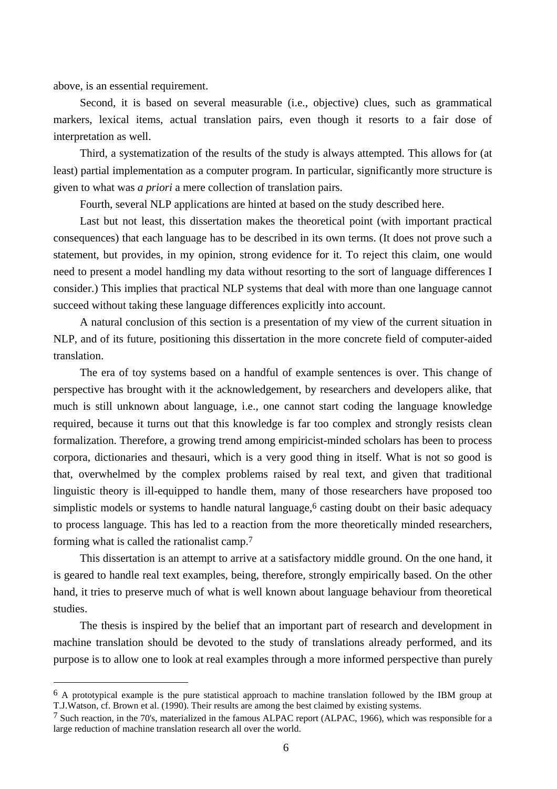above, is an essential requirement.

 $\overline{a}$ 

Second, it is based on several measurable (i.e., objective) clues, such as grammatical markers, lexical items, actual translation pairs, even though it resorts to a fair dose of interpretation as well.

Third, a systematization of the results of the study is always attempted. This allows for (at least) partial implementation as a computer program. In particular, significantly more structure is given to what was *a priori* a mere collection of translation pairs.

Fourth, several NLP applications are hinted at based on the study described here.

Last but not least, this dissertation makes the theoretical point (with important practical consequences) that each language has to be described in its own terms. (It does not prove such a statement, but provides, in my opinion, strong evidence for it. To reject this claim, one would need to present a model handling my data without resorting to the sort of language differences I consider.) This implies that practical NLP systems that deal with more than one language cannot succeed without taking these language differences explicitly into account.

A natural conclusion of this section is a presentation of my view of the current situation in NLP, and of its future, positioning this dissertation in the more concrete field of computer-aided translation.

The era of toy systems based on a handful of example sentences is over. This change of perspective has brought with it the acknowledgement, by researchers and developers alike, that much is still unknown about language, i.e., one cannot start coding the language knowledge required, because it turns out that this knowledge is far too complex and strongly resists clean formalization. Therefore, a growing trend among empiricist-minded scholars has been to process corpora, dictionaries and thesauri, which is a very good thing in itself. What is not so good is that, overwhelmed by the complex problems raised by real text, and given that traditional linguistic theory is ill-equipped to handle them, many of those researchers have proposed too simplistic models or systems to handle natural language,<sup>6</sup> casting doubt on their basic adequacy to process language. This has led to a reaction from the more theoretically minded researchers, forming what is called the rationalist camp.7

This dissertation is an attempt to arrive at a satisfactory middle ground. On the one hand, it is geared to handle real text examples, being, therefore, strongly empirically based. On the other hand, it tries to preserve much of what is well known about language behaviour from theoretical studies.

The thesis is inspired by the belief that an important part of research and development in machine translation should be devoted to the study of translations already performed, and its purpose is to allow one to look at real examples through a more informed perspective than purely

<sup>6</sup> A prototypical example is the pure statistical approach to machine translation followed by the IBM group at T.J.Watson, cf. Brown et al. (1990). Their results are among the best claimed by existing systems.

 $7$  Such reaction, in the 70's, materialized in the famous ALPAC report (ALPAC, 1966), which was responsible for a large reduction of machine translation research all over the world.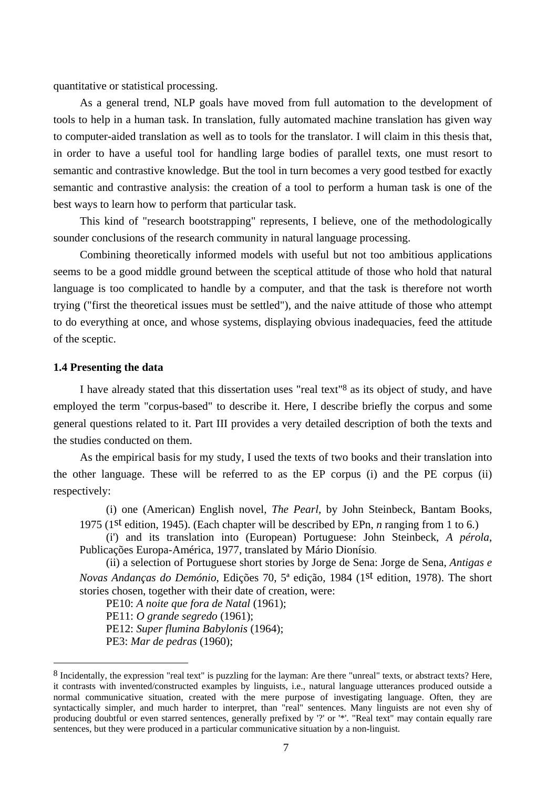quantitative or statistical processing.

As a general trend, NLP goals have moved from full automation to the development of tools to help in a human task. In translation, fully automated machine translation has given way to computer-aided translation as well as to tools for the translator. I will claim in this thesis that, in order to have a useful tool for handling large bodies of parallel texts, one must resort to semantic and contrastive knowledge. But the tool in turn becomes a very good testbed for exactly semantic and contrastive analysis: the creation of a tool to perform a human task is one of the best ways to learn how to perform that particular task.

This kind of "research bootstrapping" represents, I believe, one of the methodologically sounder conclusions of the research community in natural language processing.

Combining theoretically informed models with useful but not too ambitious applications seems to be a good middle ground between the sceptical attitude of those who hold that natural language is too complicated to handle by a computer, and that the task is therefore not worth trying ("first the theoretical issues must be settled"), and the naive attitude of those who attempt to do everything at once, and whose systems, displaying obvious inadequacies, feed the attitude of the sceptic.

## **1.4 Presenting the data**

 $\overline{a}$ 

I have already stated that this dissertation uses "real text"8 as its object of study, and have employed the term "corpus-based" to describe it. Here, I describe briefly the corpus and some general questions related to it. Part III provides a very detailed description of both the texts and the studies conducted on them.

As the empirical basis for my study, I used the texts of two books and their translation into the other language. These will be referred to as the EP corpus (i) and the PE corpus (ii) respectively:

(i) one (American) English novel, *The Pearl,* by John Steinbeck, Bantam Books, 1975 (1st edition, 1945). (Each chapter will be described by EPn, *n* ranging from 1 to 6.)

(i') and its translation into (European) Portuguese: John Steinbeck, *A pérola*, Publicações Europa-América, 1977, translated by Mário Dionísio.

(ii) a selection of Portuguese short stories by Jorge de Sena: Jorge de Sena, *Antigas e Novas Andanças do Demónio*, Edições 70, 5ª edição, 1984 (1st edition, 1978). The short stories chosen, together with their date of creation, were:

PE10: *A noite que fora de Natal* (1961);

PE11: *O grande segredo* (1961);

PE12: *Super flumina Babylonis* (1964);

PE3: *Mar de pedras* (1960);

<sup>8</sup> Incidentally, the expression "real text" is puzzling for the layman: Are there "unreal" texts, or abstract texts? Here, it contrasts with invented/constructed examples by linguists, i.e., natural language utterances produced outside a normal communicative situation, created with the mere purpose of investigating language. Often, they are syntactically simpler, and much harder to interpret, than "real" sentences. Many linguists are not even shy of producing doubtful or even starred sentences, generally prefixed by '?' or '\*'. "Real text" may contain equally rare sentences, but they were produced in a particular communicative situation by a non-linguist.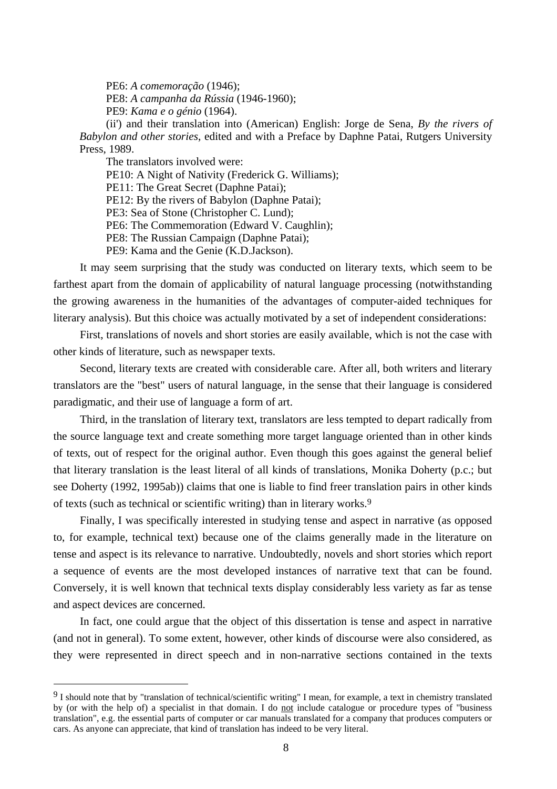PE6: *A comemoração* (1946); PE8: *A campanha da Rússia* (1946-1960); PE9: *Kama e o génio* (1964).

(ii') and their translation into (American) English: Jorge de Sena, *By the rivers of Babylon and other stories*, edited and with a Preface by Daphne Patai, Rutgers University Press, 1989.

The translators involved were:

 $\overline{a}$ 

PE10: A Night of Nativity (Frederick G. Williams);

PE11: The Great Secret (Daphne Patai);

PE12: By the rivers of Babylon (Daphne Patai);

PE3: Sea of Stone (Christopher C. Lund);

PE6: The Commemoration (Edward V. Caughlin);

PE8: The Russian Campaign (Daphne Patai);

PE9: Kama and the Genie (K.D.Jackson).

It may seem surprising that the study was conducted on literary texts, which seem to be farthest apart from the domain of applicability of natural language processing (notwithstanding the growing awareness in the humanities of the advantages of computer-aided techniques for literary analysis). But this choice was actually motivated by a set of independent considerations:

First, translations of novels and short stories are easily available, which is not the case with other kinds of literature, such as newspaper texts.

Second, literary texts are created with considerable care. After all, both writers and literary translators are the "best" users of natural language, in the sense that their language is considered paradigmatic, and their use of language a form of art.

Third, in the translation of literary text, translators are less tempted to depart radically from the source language text and create something more target language oriented than in other kinds of texts, out of respect for the original author. Even though this goes against the general belief that literary translation is the least literal of all kinds of translations, Monika Doherty (p.c.; but see Doherty (1992, 1995ab)) claims that one is liable to find freer translation pairs in other kinds of texts (such as technical or scientific writing) than in literary works.9

Finally, I was specifically interested in studying tense and aspect in narrative (as opposed to, for example, technical text) because one of the claims generally made in the literature on tense and aspect is its relevance to narrative. Undoubtedly, novels and short stories which report a sequence of events are the most developed instances of narrative text that can be found. Conversely, it is well known that technical texts display considerably less variety as far as tense and aspect devices are concerned.

In fact, one could argue that the object of this dissertation is tense and aspect in narrative (and not in general). To some extent, however, other kinds of discourse were also considered, as they were represented in direct speech and in non-narrative sections contained in the texts

<sup>9</sup> I should note that by "translation of technical/scientific writing" I mean, for example, a text in chemistry translated by (or with the help of) a specialist in that domain. I do not include catalogue or procedure types of "business translation", e.g. the essential parts of computer or car manuals translated for a company that produces computers or cars. As anyone can appreciate, that kind of translation has indeed to be very literal.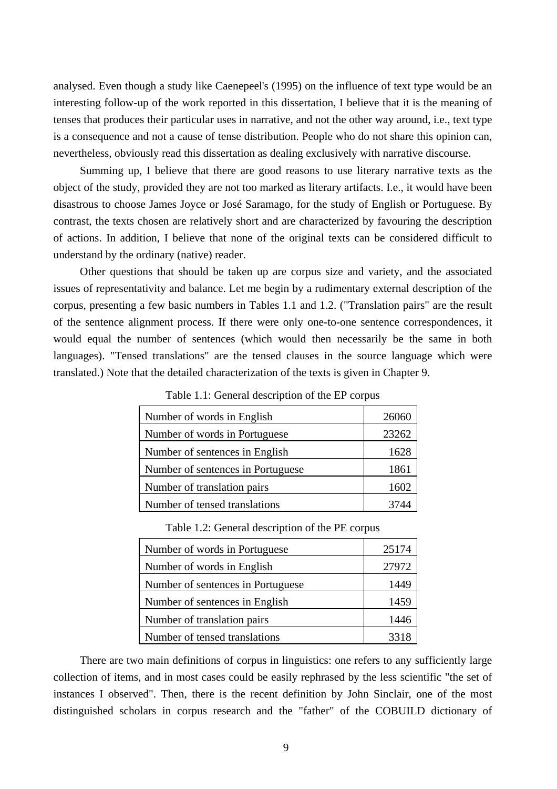analysed. Even though a study like Caenepeel's (1995) on the influence of text type would be an interesting follow-up of the work reported in this dissertation, I believe that it is the meaning of tenses that produces their particular uses in narrative, and not the other way around, i.e., text type is a consequence and not a cause of tense distribution. People who do not share this opinion can, nevertheless, obviously read this dissertation as dealing exclusively with narrative discourse.

Summing up, I believe that there are good reasons to use literary narrative texts as the object of the study, provided they are not too marked as literary artifacts. I.e., it would have been disastrous to choose James Joyce or José Saramago, for the study of English or Portuguese. By contrast, the texts chosen are relatively short and are characterized by favouring the description of actions. In addition, I believe that none of the original texts can be considered difficult to understand by the ordinary (native) reader.

Other questions that should be taken up are corpus size and variety, and the associated issues of representativity and balance. Let me begin by a rudimentary external description of the corpus, presenting a few basic numbers in Tables 1.1 and 1.2. ("Translation pairs" are the result of the sentence alignment process. If there were only one-to-one sentence correspondences, it would equal the number of sentences (which would then necessarily be the same in both languages). "Tensed translations" are the tensed clauses in the source language which were translated.) Note that the detailed characterization of the texts is given in Chapter 9.

| Number of words in English        | 26060 |
|-----------------------------------|-------|
| Number of words in Portuguese     | 23262 |
| Number of sentences in English    | 1628  |
| Number of sentences in Portuguese | 1861  |
| Number of translation pairs       | 1602  |
| Number of tensed translations     | 3744  |

Table 1.1: General description of the EP corpus

| Table 1.2: General description of the PE corpus |
|-------------------------------------------------|
|-------------------------------------------------|

| Number of words in Portuguese     | 25174 |
|-----------------------------------|-------|
| Number of words in English        | 27972 |
| Number of sentences in Portuguese | 1449  |
| Number of sentences in English    | 1459  |
| Number of translation pairs       | 1446  |
| Number of tensed translations     | 3318  |

There are two main definitions of corpus in linguistics: one refers to any sufficiently large collection of items, and in most cases could be easily rephrased by the less scientific "the set of instances I observed". Then, there is the recent definition by John Sinclair, one of the most distinguished scholars in corpus research and the "father" of the COBUILD dictionary of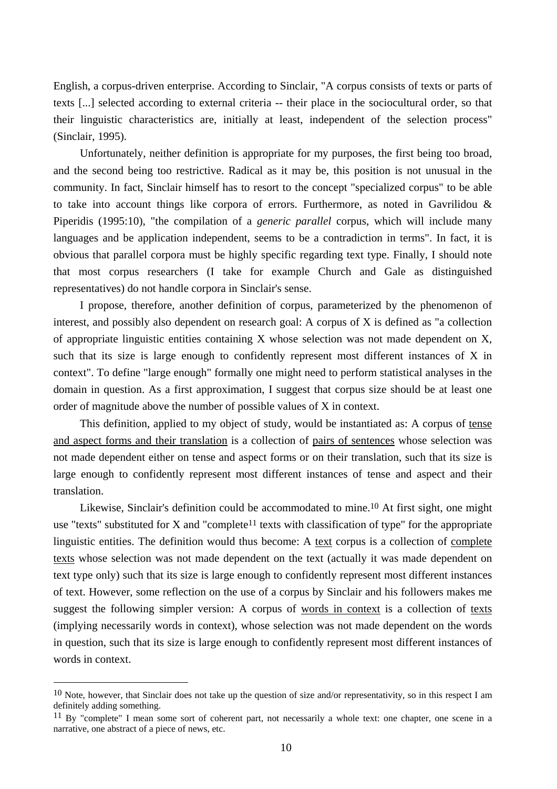English, a corpus-driven enterprise. According to Sinclair, "A corpus consists of texts or parts of texts [...] selected according to external criteria -- their place in the sociocultural order, so that their linguistic characteristics are, initially at least, independent of the selection process" (Sinclair, 1995).

Unfortunately, neither definition is appropriate for my purposes, the first being too broad, and the second being too restrictive. Radical as it may be, this position is not unusual in the community. In fact, Sinclair himself has to resort to the concept "specialized corpus" to be able to take into account things like corpora of errors. Furthermore, as noted in Gavrilidou & Piperidis (1995:10), "the compilation of a *generic parallel* corpus, which will include many languages and be application independent, seems to be a contradiction in terms". In fact, it is obvious that parallel corpora must be highly specific regarding text type. Finally, I should note that most corpus researchers (I take for example Church and Gale as distinguished representatives) do not handle corpora in Sinclair's sense.

I propose, therefore, another definition of corpus, parameterized by the phenomenon of interest, and possibly also dependent on research goal: A corpus of X is defined as "a collection of appropriate linguistic entities containing X whose selection was not made dependent on X, such that its size is large enough to confidently represent most different instances of X in context". To define "large enough" formally one might need to perform statistical analyses in the domain in question. As a first approximation, I suggest that corpus size should be at least one order of magnitude above the number of possible values of X in context.

This definition, applied to my object of study, would be instantiated as: A corpus of tense and aspect forms and their translation is a collection of pairs of sentences whose selection was not made dependent either on tense and aspect forms or on their translation, such that its size is large enough to confidently represent most different instances of tense and aspect and their translation.

Likewise, Sinclair's definition could be accommodated to mine.<sup>10</sup> At first sight, one might use "texts" substituted for X and "complete<sup>11</sup> texts with classification of type" for the appropriate linguistic entities. The definition would thus become: A text corpus is a collection of complete texts whose selection was not made dependent on the text (actually it was made dependent on text type only) such that its size is large enough to confidently represent most different instances of text. However, some reflection on the use of a corpus by Sinclair and his followers makes me suggest the following simpler version: A corpus of words in context is a collection of texts (implying necessarily words in context), whose selection was not made dependent on the words in question, such that its size is large enough to confidently represent most different instances of words in context.

 $10$  Note, however, that Sinclair does not take up the question of size and/or representativity, so in this respect I am definitely adding something.

 $11$  By "complete" I mean some sort of coherent part, not necessarily a whole text: one chapter, one scene in a narrative, one abstract of a piece of news, etc.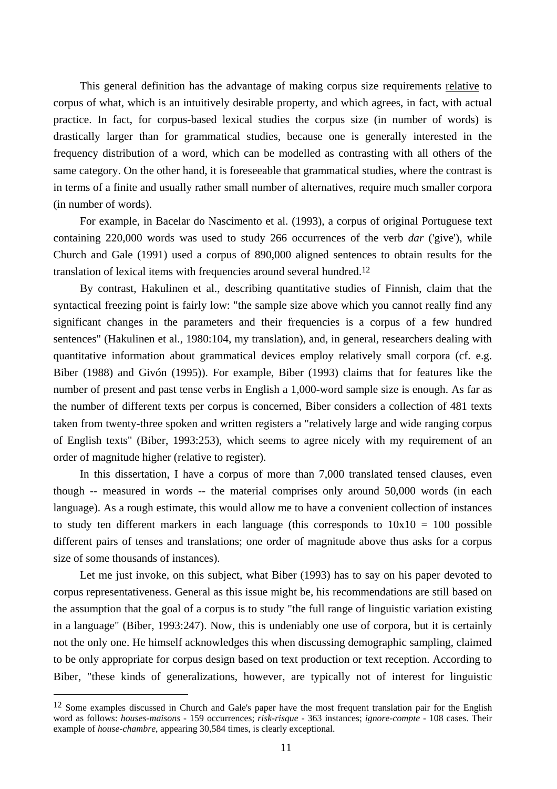This general definition has the advantage of making corpus size requirements relative to corpus of what, which is an intuitively desirable property, and which agrees, in fact, with actual practice. In fact, for corpus-based lexical studies the corpus size (in number of words) is drastically larger than for grammatical studies, because one is generally interested in the frequency distribution of a word, which can be modelled as contrasting with all others of the same category. On the other hand, it is foreseeable that grammatical studies, where the contrast is in terms of a finite and usually rather small number of alternatives, require much smaller corpora (in number of words).

For example, in Bacelar do Nascimento et al. (1993), a corpus of original Portuguese text containing 220,000 words was used to study 266 occurrences of the verb *dar* ('give'), while Church and Gale (1991) used a corpus of 890,000 aligned sentences to obtain results for the translation of lexical items with frequencies around several hundred.12

By contrast, Hakulinen et al., describing quantitative studies of Finnish, claim that the syntactical freezing point is fairly low: "the sample size above which you cannot really find any significant changes in the parameters and their frequencies is a corpus of a few hundred sentences" (Hakulinen et al., 1980:104, my translation), and, in general, researchers dealing with quantitative information about grammatical devices employ relatively small corpora (cf. e.g. Biber (1988) and Givón (1995)). For example, Biber (1993) claims that for features like the number of present and past tense verbs in English a 1,000-word sample size is enough. As far as the number of different texts per corpus is concerned, Biber considers a collection of 481 texts taken from twenty-three spoken and written registers a "relatively large and wide ranging corpus of English texts" (Biber, 1993:253), which seems to agree nicely with my requirement of an order of magnitude higher (relative to register).

In this dissertation, I have a corpus of more than 7,000 translated tensed clauses, even though -- measured in words -- the material comprises only around 50,000 words (in each language). As a rough estimate, this would allow me to have a convenient collection of instances to study ten different markers in each language (this corresponds to  $10x10 = 100$  possible different pairs of tenses and translations; one order of magnitude above thus asks for a corpus size of some thousands of instances).

Let me just invoke, on this subject, what Biber (1993) has to say on his paper devoted to corpus representativeness. General as this issue might be, his recommendations are still based on the assumption that the goal of a corpus is to study "the full range of linguistic variation existing in a language" (Biber, 1993:247). Now, this is undeniably one use of corpora, but it is certainly not the only one. He himself acknowledges this when discussing demographic sampling, claimed to be only appropriate for corpus design based on text production or text reception. According to Biber, "these kinds of generalizations, however, are typically not of interest for linguistic

<sup>&</sup>lt;sup>12</sup> Some examples discussed in Church and Gale's paper have the most frequent translation pair for the English word as follows: *houses-maisons* - 159 occurrences; *risk-risque* - 363 instances; *ignore-compte* - 108 cases. Their example of *house-chambre*, appearing 30,584 times, is clearly exceptional.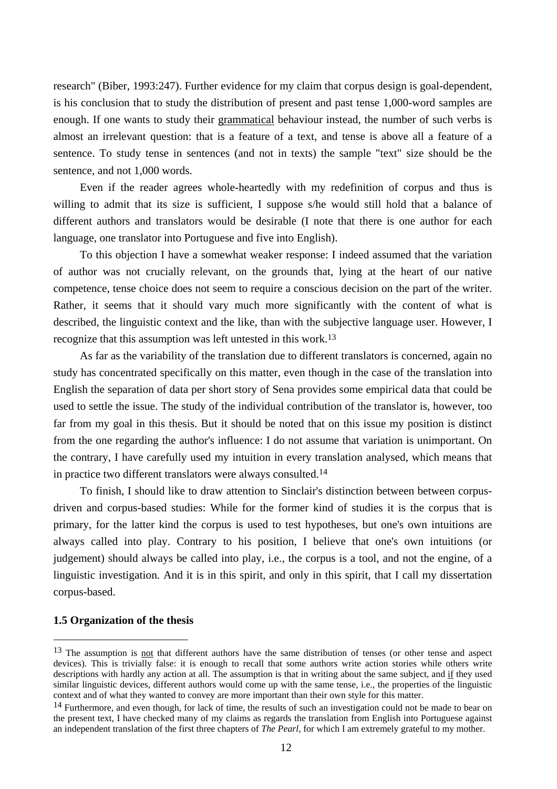research" (Biber, 1993:247). Further evidence for my claim that corpus design is goal-dependent, is his conclusion that to study the distribution of present and past tense 1,000-word samples are enough. If one wants to study their grammatical behaviour instead, the number of such verbs is almost an irrelevant question: that is a feature of a text, and tense is above all a feature of a sentence. To study tense in sentences (and not in texts) the sample "text" size should be the sentence, and not 1,000 words.

Even if the reader agrees whole-heartedly with my redefinition of corpus and thus is willing to admit that its size is sufficient, I suppose s/he would still hold that a balance of different authors and translators would be desirable (I note that there is one author for each language, one translator into Portuguese and five into English).

To this objection I have a somewhat weaker response: I indeed assumed that the variation of author was not crucially relevant, on the grounds that, lying at the heart of our native competence, tense choice does not seem to require a conscious decision on the part of the writer. Rather, it seems that it should vary much more significantly with the content of what is described, the linguistic context and the like, than with the subjective language user. However, I recognize that this assumption was left untested in this work.13

As far as the variability of the translation due to different translators is concerned, again no study has concentrated specifically on this matter, even though in the case of the translation into English the separation of data per short story of Sena provides some empirical data that could be used to settle the issue. The study of the individual contribution of the translator is, however, too far from my goal in this thesis. But it should be noted that on this issue my position is distinct from the one regarding the author's influence: I do not assume that variation is unimportant. On the contrary, I have carefully used my intuition in every translation analysed, which means that in practice two different translators were always consulted.14

To finish, I should like to draw attention to Sinclair's distinction between between corpusdriven and corpus-based studies: While for the former kind of studies it is the corpus that is primary, for the latter kind the corpus is used to test hypotheses, but one's own intuitions are always called into play. Contrary to his position, I believe that one's own intuitions (or judgement) should always be called into play, i.e., the corpus is a tool, and not the engine, of a linguistic investigation. And it is in this spirit, and only in this spirit, that I call my dissertation corpus-based.

# **1.5 Organization of the thesis**

<sup>&</sup>lt;sup>13</sup> The assumption is <u>not</u> that different authors have the same distribution of tenses (or other tense and aspect devices). This is trivially false: it is enough to recall that some authors write action stories while others write descriptions with hardly any action at all. The assumption is that in writing about the same subject, and if they used similar linguistic devices, different authors would come up with the same tense, i.e., the properties of the linguistic context and of what they wanted to convey are more important than their own style for this matter.

<sup>&</sup>lt;sup>14</sup> Furthermore, and even though, for lack of time, the results of such an investigation could not be made to bear on the present text, I have checked many of my claims as regards the translation from English into Portuguese against an independent translation of the first three chapters of *The Pearl*, for which I am extremely grateful to my mother.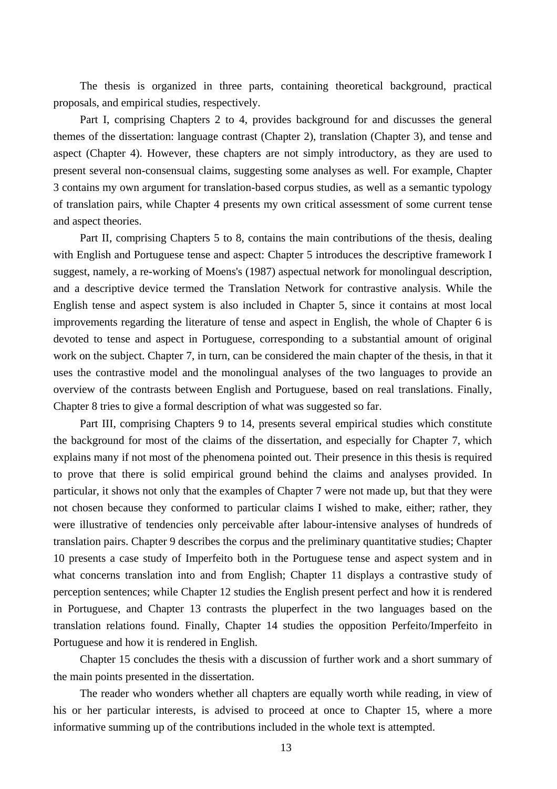The thesis is organized in three parts, containing theoretical background, practical proposals, and empirical studies, respectively.

Part I, comprising Chapters 2 to 4, provides background for and discusses the general themes of the dissertation: language contrast (Chapter 2), translation (Chapter 3), and tense and aspect (Chapter 4). However, these chapters are not simply introductory, as they are used to present several non-consensual claims, suggesting some analyses as well. For example, Chapter 3 contains my own argument for translation-based corpus studies, as well as a semantic typology of translation pairs, while Chapter 4 presents my own critical assessment of some current tense and aspect theories.

Part II, comprising Chapters 5 to 8, contains the main contributions of the thesis, dealing with English and Portuguese tense and aspect: Chapter 5 introduces the descriptive framework I suggest, namely, a re-working of Moens's (1987) aspectual network for monolingual description, and a descriptive device termed the Translation Network for contrastive analysis. While the English tense and aspect system is also included in Chapter 5, since it contains at most local improvements regarding the literature of tense and aspect in English, the whole of Chapter 6 is devoted to tense and aspect in Portuguese, corresponding to a substantial amount of original work on the subject. Chapter 7, in turn, can be considered the main chapter of the thesis, in that it uses the contrastive model and the monolingual analyses of the two languages to provide an overview of the contrasts between English and Portuguese, based on real translations. Finally, Chapter 8 tries to give a formal description of what was suggested so far.

Part III, comprising Chapters 9 to 14, presents several empirical studies which constitute the background for most of the claims of the dissertation, and especially for Chapter 7, which explains many if not most of the phenomena pointed out. Their presence in this thesis is required to prove that there is solid empirical ground behind the claims and analyses provided. In particular, it shows not only that the examples of Chapter 7 were not made up, but that they were not chosen because they conformed to particular claims I wished to make, either; rather, they were illustrative of tendencies only perceivable after labour-intensive analyses of hundreds of translation pairs. Chapter 9 describes the corpus and the preliminary quantitative studies; Chapter 10 presents a case study of Imperfeito both in the Portuguese tense and aspect system and in what concerns translation into and from English; Chapter 11 displays a contrastive study of perception sentences; while Chapter 12 studies the English present perfect and how it is rendered in Portuguese, and Chapter 13 contrasts the pluperfect in the two languages based on the translation relations found. Finally, Chapter 14 studies the opposition Perfeito/Imperfeito in Portuguese and how it is rendered in English.

Chapter 15 concludes the thesis with a discussion of further work and a short summary of the main points presented in the dissertation.

The reader who wonders whether all chapters are equally worth while reading, in view of his or her particular interests, is advised to proceed at once to Chapter 15, where a more informative summing up of the contributions included in the whole text is attempted.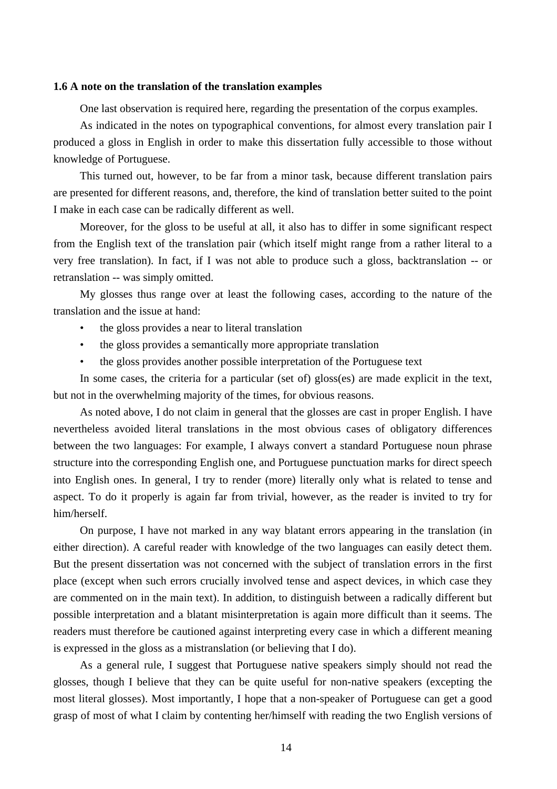# **1.6 A note on the translation of the translation examples**

One last observation is required here, regarding the presentation of the corpus examples.

As indicated in the notes on typographical conventions, for almost every translation pair I produced a gloss in English in order to make this dissertation fully accessible to those without knowledge of Portuguese.

This turned out, however, to be far from a minor task, because different translation pairs are presented for different reasons, and, therefore, the kind of translation better suited to the point I make in each case can be radically different as well.

Moreover, for the gloss to be useful at all, it also has to differ in some significant respect from the English text of the translation pair (which itself might range from a rather literal to a very free translation). In fact, if I was not able to produce such a gloss, backtranslation -- or retranslation -- was simply omitted.

My glosses thus range over at least the following cases, according to the nature of the translation and the issue at hand:

- the gloss provides a near to literal translation
- the gloss provides a semantically more appropriate translation
- the gloss provides another possible interpretation of the Portuguese text

In some cases, the criteria for a particular (set of) gloss(es) are made explicit in the text, but not in the overwhelming majority of the times, for obvious reasons.

As noted above, I do not claim in general that the glosses are cast in proper English. I have nevertheless avoided literal translations in the most obvious cases of obligatory differences between the two languages: For example, I always convert a standard Portuguese noun phrase structure into the corresponding English one, and Portuguese punctuation marks for direct speech into English ones. In general, I try to render (more) literally only what is related to tense and aspect. To do it properly is again far from trivial, however, as the reader is invited to try for him/herself.

On purpose, I have not marked in any way blatant errors appearing in the translation (in either direction). A careful reader with knowledge of the two languages can easily detect them. But the present dissertation was not concerned with the subject of translation errors in the first place (except when such errors crucially involved tense and aspect devices, in which case they are commented on in the main text). In addition, to distinguish between a radically different but possible interpretation and a blatant misinterpretation is again more difficult than it seems. The readers must therefore be cautioned against interpreting every case in which a different meaning is expressed in the gloss as a mistranslation (or believing that I do).

As a general rule, I suggest that Portuguese native speakers simply should not read the glosses, though I believe that they can be quite useful for non-native speakers (excepting the most literal glosses). Most importantly, I hope that a non-speaker of Portuguese can get a good grasp of most of what I claim by contenting her/himself with reading the two English versions of